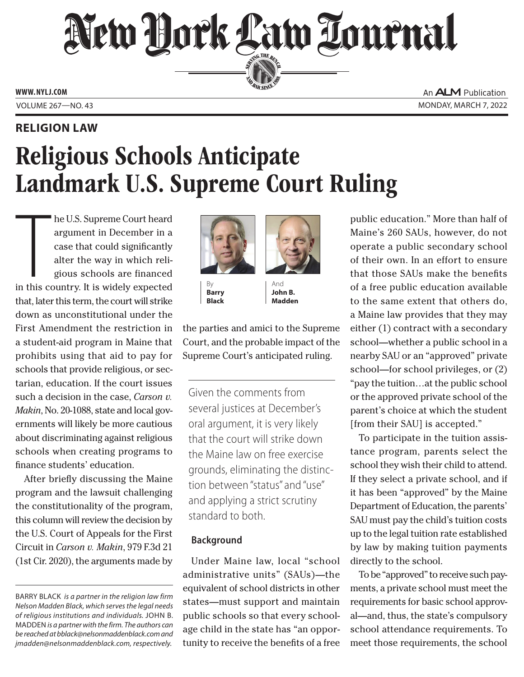# New Hork Law Lournal SERVING THE BET

**ED BAR SINCE 188** 

**www. NYLJ.com**

## **Religion Law**

An **ALM** Publication Volume 267—NO. 43 Monday, March 7, 2022

# Religious Schools Anticipate Landmark U.S. Supreme Court Ruling

The U.S. Supreme Court heard<br>argument in December in a<br>case that could significantly<br>alter the way in which reli-<br>gious schools are financed<br>in this country. It is widely expected he U.S. Supreme Court heard argument in December in a case that could significantly alter the way in which religious schools are financed that, later this term, the court will strike down as unconstitutional under the First Amendment the restriction in a student-aid program in Maine that prohibits using that aid to pay for schools that provide religious, or sectarian, education. If the court issues such a decision in the case, *Carson v. Makin*, No. 20-1088, state and local governments will likely be more cautious about discriminating against religious schools when creating programs to finance students' education.

After briefly discussing the Maine program and the lawsuit challenging the constitutionality of the program, this column will review the decision by the U.S. Court of Appeals for the First Circuit in *Carson v. Makin*, 979 F.3d 21 (1st Cir. 2020), the arguments made by



By **Barry Black**



And **John B. Madden**

the parties and amici to the Supreme Court, and the probable impact of the Supreme Court's anticipated ruling.

Given the comments from several justices at December's oral argument, it is very likely that the court will strike down the Maine law on free exercise grounds, eliminating the distinction between "status" and "use" and applying a strict scrutiny standard to both.

### **Background**

Under Maine law, local "school administrative units" (SAUs)—the equivalent of school districts in other states—must support and maintain public schools so that every schoolage child in the state has "an opportunity to receive the benefits of a free

public education." More than half of Maine's 260 SAUs, however, do not operate a public secondary school of their own. In an effort to ensure that those SAUs make the benefits of a free public education available to the same extent that others do, a Maine law provides that they may either (1) contract with a secondary school—whether a public school in a nearby SAU or an "approved" private school—for school privileges, or (2) "pay the tuition…at the public school or the approved private school of the parent's choice at which the student [from their SAU] is accepted."

To participate in the tuition assistance program, parents select the school they wish their child to attend. If they select a private school, and if it has been "approved" by the Maine Department of Education, the parents' SAU must pay the child's tuition costs up to the legal tuition rate established by law by making tuition payments directly to the school.

To be "approved" to receive such payments, a private school must meet the requirements for basic school approval—and, thus, the state's compulsory school attendance requirements. To meet those requirements, the school

BARRY BLACK *is a partner in the religion law firm Nelson Madden Black, which serves the legal needs of religious institutions and individuals.* John B. Madden *is a partner with the firm. The authors can be reached at bblack@nelsonmaddenblack.com and jmadden@nelsonmaddenblack.com, respectively.*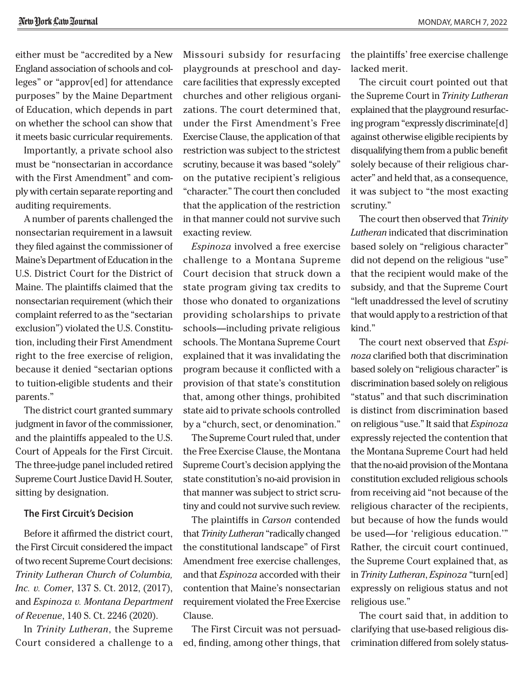either must be "accredited by a New England association of schools and colleges" or "approv[ed] for attendance purposes" by the Maine Department of Education, which depends in part on whether the school can show that it meets basic curricular requirements.

Importantly, a private school also must be "nonsectarian in accordance with the First Amendment" and comply with certain separate reporting and auditing requirements.

A number of parents challenged the nonsectarian requirement in a lawsuit they filed against the commissioner of Maine's Department of Education in the U.S. District Court for the District of Maine. The plaintiffs claimed that the nonsectarian requirement (which their complaint referred to as the "sectarian exclusion") violated the U.S. Constitution, including their First Amendment right to the free exercise of religion, because it denied "sectarian options to tuition-eligible students and their parents."

The district court granted summary judgment in favor of the commissioner, and the plaintiffs appealed to the U.S. Court of Appeals for the First Circuit. The three-judge panel included retired Supreme Court Justice David H. Souter, sitting by designation.

### **The First Circuit's Decision**

Before it affirmed the district court, the First Circuit considered the impact of two recent Supreme Court decisions: *Trinity Lutheran Church of Columbia, Inc. v. Comer*, 137 S. Ct. 2012, (2017), and *Espinoza v. Montana Department of Revenue*, 140 S. Ct. 2246 (2020).

In *Trinity Lutheran*, the Supreme Court considered a challenge to a Missouri subsidy for resurfacing playgrounds at preschool and daycare facilities that expressly excepted churches and other religious organizations. The court determined that, under the First Amendment's Free Exercise Clause, the application of that restriction was subject to the strictest scrutiny, because it was based "solely" on the putative recipient's religious "character." The court then concluded that the application of the restriction in that manner could not survive such exacting review.

*Espinoza* involved a free exercise challenge to a Montana Supreme Court decision that struck down a state program giving tax credits to those who donated to organizations providing scholarships to private schools—including private religious schools. The Montana Supreme Court explained that it was invalidating the program because it conflicted with a provision of that state's constitution that, among other things, prohibited state aid to private schools controlled by a "church, sect, or denomination."

The Supreme Court ruled that, under the Free Exercise Clause, the Montana Supreme Court's decision applying the state constitution's no-aid provision in that manner was subject to strict scrutiny and could not survive such review.

The plaintiffs in *Carson* contended that *Trinity Lutheran* "radically changed the constitutional landscape" of First Amendment free exercise challenges, and that *Espinoza* accorded with their contention that Maine's nonsectarian requirement violated the Free Exercise Clause.

The First Circuit was not persuaded, finding, among other things, that the plaintiffs' free exercise challenge lacked merit.

The circuit court pointed out that the Supreme Court in *Trinity Lutheran* explained that the playground resurfacing program "expressly discriminate[d] against otherwise eligible recipients by disqualifying them from a public benefit solely because of their religious character" and held that, as a consequence, it was subject to "the most exacting scrutiny."

The court then observed that *Trinity Lutheran* indicated that discrimination based solely on "religious character" did not depend on the religious "use" that the recipient would make of the subsidy, and that the Supreme Court "left unaddressed the level of scrutiny that would apply to a restriction of that kind."

The court next observed that *Espinoza* clarified both that discrimination based solely on "religious character" is discrimination based solely on religious "status" and that such discrimination is distinct from discrimination based on religious "use." It said that *Espinoza* expressly rejected the contention that the Montana Supreme Court had held that the no-aid provision of the Montana constitution excluded religious schools from receiving aid "not because of the religious character of the recipients, but because of how the funds would be used—for 'religious education.'" Rather, the circuit court continued, the Supreme Court explained that, as in *Trinity Lutheran*, *Espinoza* "turn[ed] expressly on religious status and not religious use."

The court said that, in addition to clarifying that use-based religious discrimination differed from solely status